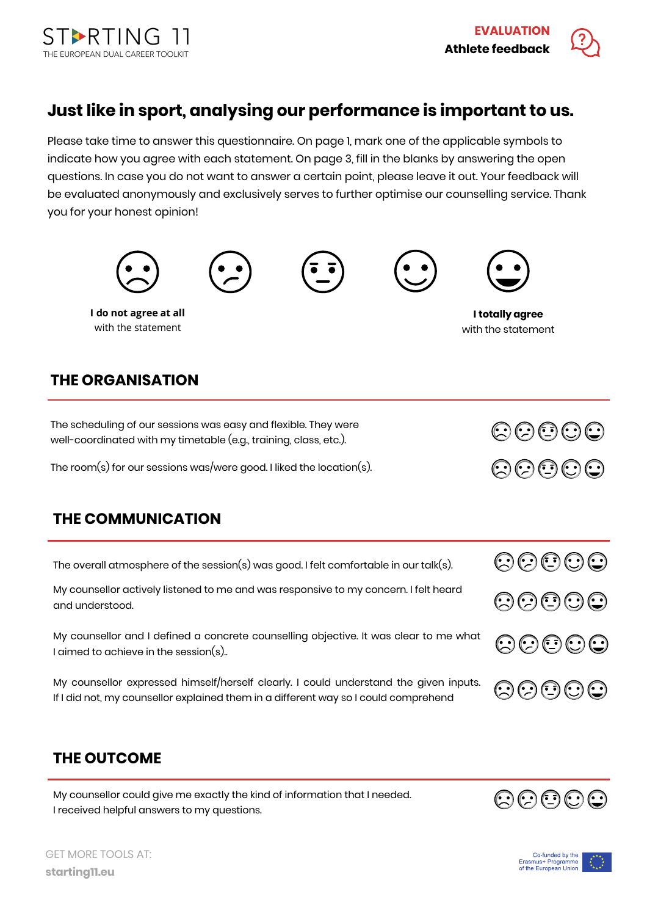

## **Just like in sport, analysing our performance is important to us.**

Please take time to answer this questionnaire. On page 1, mark one of the applicable symbols to indicate how you agree with each statement. On page 3, fill in the blanks by answering the open questions. In case you do not want to answer a certain point, please leave it out. Your feedback will be evaluated anonymously and exclusively serves to further optimise our counselling service. Thank you for your honest opinion!



I received helpful answers to my questions.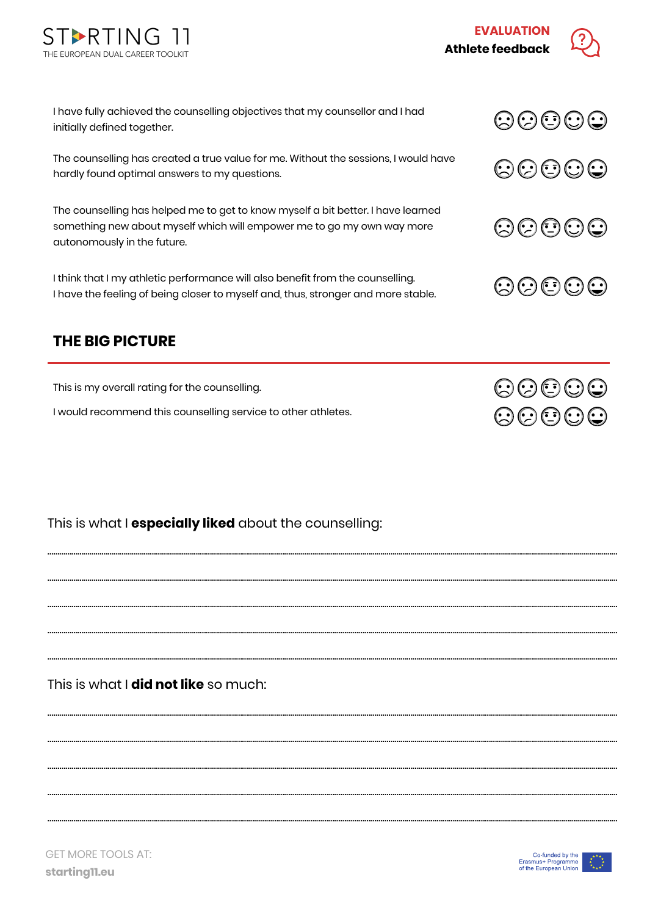



 $\odot$  $\odot$  $\odot$  $\odot$ 

 $\odot$  $\odot$  $\odot$  $\odot$ 

00000

 $\odot$  $\odot$  $\odot$  $\odot$ 

 $\odot$  $\odot$  $\odot$  $\odot$ 

 $\odot$  $\odot$  $\odot$  $\odot$ 

I have fully achieved the counselling objectives that my counsellor and I had initially defined together.

The counselling has created a true value for me. Without the sessions, I would have hardly found optimal answers to my questions.

The counselling has helped me to get to know myself a bit better. I have learned something new about myself which will empower me to go my own way more autonomously in the future.

I think that I my athletic performance will also benefit from the counselling. I have the feeling of being closer to myself and, thus, stronger and more stable.

## **THE BIG PICTURE**

This is my overall rating for the counselling.

I would recommend this counselling service to other athletes.

This is what I **especially liked** about the counselling:

………………………………………………………….………………………………………………………….……………………………………………………………………………………………………………………………………

………………………………………………………….………………………………………………………….……………………………………………………………………………………………………………………………………

………………………………………………………….………………………………………………………….……………………………………………………………………………………………………………………………………

………………………………………………………….………………………………………………………….……………………………………………………………………………………………………………………………………

………………………………………………………….………………………………………………………….……………………………………………………………………………………………………………………………………

………………………………………………………….………………………………………………………….……………………………………………………………………………………………………………………………………

………………………………………………………….………………………………………………………….……………………………………………………………………………………………………………………………………

………………………………………………………….………………………………………………………….……………………………………………………………………………………………………………………………………

………………………………………………………….………………………………………………………….……………………………………………………………………………………………………………………………………

………………………………………………………….………………………………………………………….……………………………………………………………………………………………………………………………………

This is what I **did not like** so much: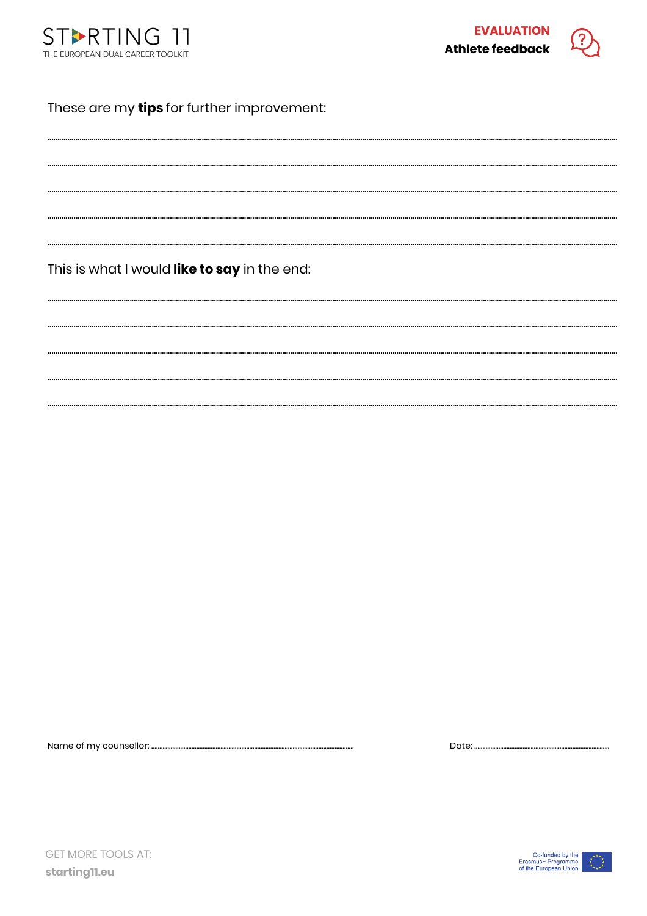



## These are my tips for further improvement:

This is what I would like to say in the end:

Name of my counsellor: .........

Date:  $\Box$